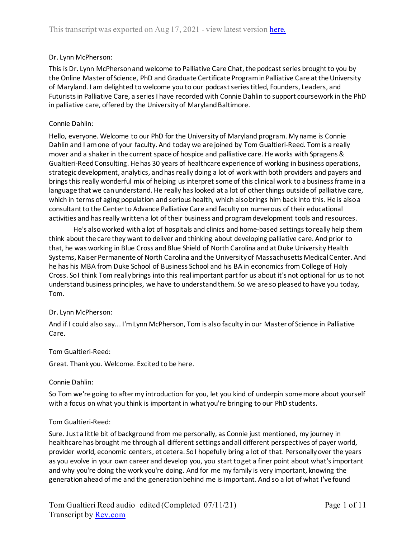## Dr. Lynn McPherson:

This is Dr. Lynn McPherson and welcome to Palliative Care Chat, the podcast series brought to you by the Online Master of Science, PhD and Graduate Certificate Program in Palliative Care at the University of Maryland. I am delighted to welcome you to our podcast series titled, Founders, Leaders, and Futurists in Palliative Care, a series I have recorded with Connie Dahlin to support coursework in the PhD in palliative care, offered by the University of Maryland Baltimore.

## Connie Dahlin:

Hello, everyone. Welcome to our PhD for the University of Maryland program. My name is Connie Dahlin and I am one of your faculty. And today we are joined by Tom Gualtieri-Reed. Tom is a really mover and a shaker in the current space of hospice and palliative care. He works with Spragens & Gualtieri-Reed Consulting. He has 30 years of healthcare experience of working in business operations, strategic development, analytics, and has really doing a lot of work with both providers and payers and brings this really wonderful mix of helping us interpret some of this clinical work to a business frame in a language that we can understand. He really has looked at a lot of other things outside of palliative care, which in terms of aging population and serious health, which also brings him back into this. He is also a consultant to the Center to Advance Palliative Care and faculty on numerous of their educational activities and has really written a lot of their business and program development tools and resources.

He's also worked with a lot of hospitals and clinics and home-based settings to really help them think about the care they want to deliver and thinking about developing palliative care. And prior to that, he was working in Blue Cross and Blue Shield of North Carolina and at Duke University Health Systems, Kaiser Permanente of North Carolina and the University of Massachusetts Medical Center. And he has his MBA from Duke School of Business School and his BA in economics from College of Holy Cross. So I think Tom really brings into this real important part for us about it's not optional for us to not understand business principles, we have to understand them. So we are so pleased to have you today, Tom.

## Dr. Lynn McPherson:

And if I could also say... I'm Lynn McPherson, Tom is also faculty in our Master of Science in Palliative Care.

# Tom Gualtieri-Reed:

Great. Thank you. Welcome. Excited to be here.

## Connie Dahlin:

So Tom we're going to after my introduction for you, let you kind of underpin some more about yourself with a focus on what you think is important in what you're bringing to our PhD students.

## Tom Gualtieri-Reed:

Sure. Just a little bit of background from me personally, as Connie just mentioned, my journey in healthcare has brought me through all different settings and all different perspectives of payer world, provider world, economic centers, et cetera. So I hopefully bring a lot of that. Personally over the years as you evolve in your own career and develop you, you start to get a finer point about what's important and why you're doing the work you're doing. And for me my family is very important, knowing the generation ahead of me and the generation behind me is important. And so a lot of what I've found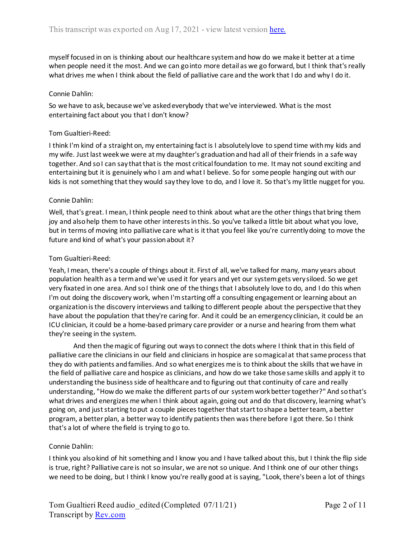myself focused in on is thinking about our healthcare system and how do we make it better at a time when people need it the most. And we can go into more detail as we go forward, but I think that's really what drives me when I think about the field of palliative care and the work that I do and why I do it.

## Connie Dahlin:

So we have to ask, because we've asked everybody that we've interviewed. What is the most entertaining fact about you that I don't know?

## Tom Gualtieri-Reed:

I think I'm kind of a straight on, my entertaining fact is I absolutely love to spend time with my kids and my wife. Just last week we were at my daughter's graduation and had all of their friends in a safe way together. And so I can say that that is the most critical foundation to me. It may not sound exciting and entertaining but it is genuinely who I am and what I believe. So for some people hanging out with our kids is not something that they would say they love to do, and I love it. So that's my little nugget for you.

## Connie Dahlin:

Well, that's great. I mean, I think people need to think about what are the other things that bring them joy and also help them to have other interests in this. So you've talked a little bit about what you love, but in terms of moving into palliative care what is it that you feel like you're currently doing to move the future and kind of what's your passion about it?

## Tom Gualtieri-Reed:

Yeah, I mean, there's a couple of things about it. First of all, we've talked for many, many years about population health as a term and we've used it for years and yet our system gets very siloed. So we get very fixated in one area. And so I think one of the things that I absolutely love to do, and I do this when I'm out doing the discovery work, when I'm starting off a consulting engagement or learning about an organization is the discovery interviews and talking to different people about the perspective that they have about the population that they're caring for. And it could be an emergency clinician, it could be an ICU clinician, it could be a home-based primary care provider or a nurse and hearing from them what they're seeing in the system.

And then the magic of figuring out ways to connect the dots where I think that in this field of palliative care the clinicians in our field and clinicians in hospice are so magical at that same process that they do with patients and families. And so what energizes me is to think about the skills that we have in the field of palliative care and hospice as clinicians, and how do we take those same skills and apply it to understanding the business side of healthcare and to figuring out that continuity of care and really understanding, "How do we make the different parts of our system work better together?" And so that's what drives and energizes me when I think about again, going out and do that discovery, learning what's going on, and just starting to put a couple pieces together that start to shape a better team, a better program, a better plan, a better way to identify patients then was there before I got there. So I think that's a lot of where the field is trying to go to.

## Connie Dahlin:

I think you also kind of hit something and I know you and I have talked about this, but I think the flip side is true, right? Palliative care is not so insular, we are not so unique. And I think one of our other things we need to be doing, but I think I know you're really good at is saying, "Look, there's been a lot of things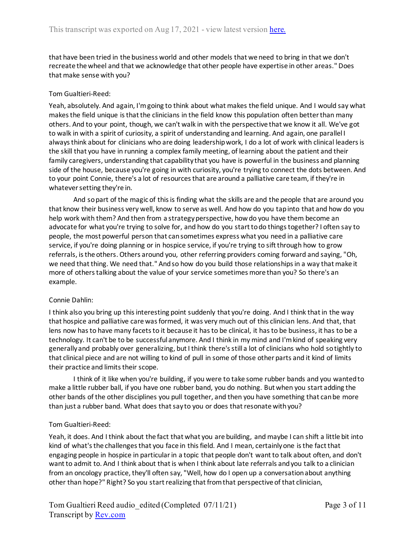that have been tried in the business world and other models that we need to bring in that we don't recreate the wheel and that we acknowledge that other people have expertise in other areas." Does that make sense with you?

# Tom Gualtieri-Reed:

Yeah, absolutely. And again, I'm going to think about what makes the field unique. And I would say what makes the field unique is that the clinicians in the field know this population often better than many others. And to your point, though, we can't walk in with the perspective that we know it all. We've got to walk in with a spirit of curiosity, a spirit of understanding and learning. And again, one parallel I always think about for clinicians who are doing leadership work, I do a lot of work with clinical leaders is the skill that you have in running a complex family meeting, of learning about the patient and their family caregivers, understanding that capability that you have is powerful in the business and planning side of the house, because you're going in with curiosity, you're trying to connect the dots between. And to your point Connie, there's a lot of resources that are around a palliative care team, if they're in whatever setting they're in.

And so part of the magic of this is finding what the skills are and the people that are around you that know their business very well, know to serve as well. And how do you tap into that and how do you help work with them? And then from a strategy perspective, how do you have them become an advocate for what you're trying to solve for, and how do you start to do things together? I often say to people, the most powerful person that can sometimes express what you need in a palliative care service, if you're doing planning or in hospice service, if you're trying to sift through how to grow referrals, is the others. Others around you, other referring providers coming forward and saying, "Oh, we need that thing. We need that." And so how do you build those relationships in a way that make it more of others talking about the value of your service sometimes more than you? So there's an example.

# Connie Dahlin:

I think also you bring up this interesting point suddenly that you're doing. And I think that in the way that hospice and palliative care was formed, it was very much out of this clinician lens. And that, that lens now has to have many facets to it because it has to be clinical, it has to be business, it has to be a technology. It can't be to be successful anymore. And I think in my mind and I'm kind of speaking very generally and probably over generalizing, but I think there's still a lot of clinicians who hold so tightly to that clinical piece and are not willing to kind of pull in some of those other parts and it kind of limits their practice and limits their scope.

I think of it like when you're building, if you were to take some rubber bands and you wanted to make a little rubber ball, if you have one rubber band, you do nothing. But when you start adding the other bands of the other disciplines you pull together, and then you have something that can be more than just a rubber band. What does that say to you or does that resonate with you?

## Tom Gualtieri-Reed:

Yeah, it does. And I think about the fact that what you are building, and maybe I can shift a little bit into kind of what's the challenges that you face in this field. And I mean, certainly one is the fact that engaging people in hospice in particular in a topic that people don't want to talk about often, and don't want to admit to. And I think about that is when I think about late referrals and you talk to a clinician from an oncology practice, they'll often say, "Well, how do I open up a conversation about anything other than hope?" Right? So you start realizing that from that perspective of that clinician,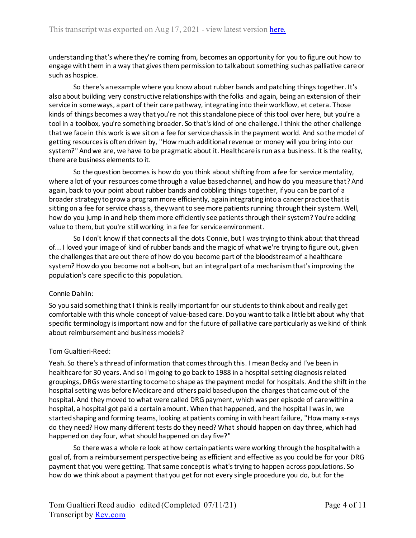understanding that's where they're coming from, becomes an opportunity for you to figure out how to engage with them in a way that gives them permission to talk about something such as palliative care or such as hospice.

So there's an example where you know about rubber bands and patching things together. It's also about building very constructive relationships with the folks and again, being an extension of their service in some ways, a part of their care pathway, integrating into their workflow, et cetera. Those kinds of things becomes a way that you're not this standalone piece of this tool over here, but you're a tool in a toolbox, you're something broader. So that's kind of one challenge. I think the other challenge that we face in this work is we sit on a fee for service chassis in the payment world. And so the model of getting resources is often driven by, "How much additional revenue or money will you bring into our system?" And we are, we have to be pragmatic about it. Healthcare is run as a business. It is the reality, there are business elements to it.

So the question becomes is how do you think about shifting from a fee for service mentality, where a lot of your resources come through a value based channel, and how do you measure that? And again, back to your point about rubber bands and cobbling things together, if you can be part of a broader strategy to grow a program more efficiently, again integrating into a cancer practice that is sitting on a fee for service chassis, they want to see more patients running through their system. Well, how do you jump in and help them more efficiently see patients through their system? You're adding value to them, but you're still working in a fee for service environment.

So I don't know if that connects all the dots Connie, but I was trying to think about that thread of... I loved your image of kind of rubber bands and the magic of what we're trying to figure out, given the challenges that are out there of how do you become part of the bloodstream of a healthcare system? How do you become not a bolt-on, but an integral part of a mechanism that's improving the population's care specific to this population.

## Connie Dahlin:

So you said something that I think is really important for our students to think about and really get comfortable with this whole concept of value-based care. Do you want to talk a little bit about why that specific terminology is important now and for the future of palliative care particularly as we kind of think about reimbursement and business models?

## Tom Gualtieri-Reed:

Yeah. So there's a thread of information that comes through this. I mean Becky and I've been in healthcare for 30 years. And so I'm going to go back to 1988 in a hospital setting diagnosis related groupings, DRGs were starting to come to shape as the payment model for hospitals. And the shift in the hospital setting was before Medicare and others paid based upon the charges that came out of the hospital. And they moved to what were called DRG payment, which was per episode of care within a hospital, a hospital got paid a certain amount. When that happened, and the hospital I was in, we started shaping and forming teams, looking at patients coming in with heart failure, "How many x-rays do they need? How many different tests do they need? What should happen on day three, which had happened on day four, what should happened on day five?"

So there was a whole re look at how certain patients were working through the hospital with a goal of, from a reimbursement perspective being as efficient and effective as you could be for your DRG payment that you were getting. That same concept is what's trying to happen across populations. So how do we think about a payment that you get for not every single procedure you do, but for the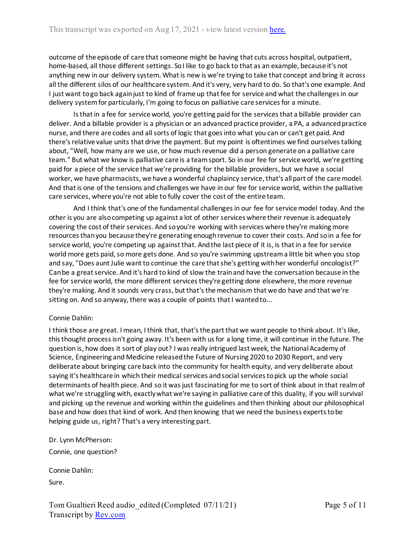outcome of the episode of care that someone might be having that cuts across hospital, outpatient, home-based, all those different settings. So I like to go back to that as an example, because it's not anything new in our delivery system. What is new is we're trying to take that concept and bring it across all the different silos of our healthcare system. And it's very, very hard to do. So that's one example. And I just want to go back again just to kind of frame up that fee for service and what the challenges in our delivery system for particularly, I'm going to focus on palliative care services for a minute.

Is that in a fee for service world, you're getting paid for the services that a billable provider can deliver. And a billable provider is a physician or an advanced practice provider, a PA, a advanced practice nurse, and there are codes and all sorts of logic that goes into what you can or can't get paid. And there's relative value units that drive the payment. But my point is oftentimes we find ourselves talking about, "Well, how many are we use, or how much revenue did a person generate on a palliative care team." But what we know is palliative care is a team sport. So in our fee for service world, we're getting paid for a piece of the service that we're providing for the billable providers, but we have a social worker, we have pharmacists, we have a wonderful chaplaincy service, that's all part of the care model. And that is one of the tensions and challenges we have in our fee for service world, within the palliative care services, where you're not able to fully cover the cost of the entire team.

And I think that's one of the fundamental challenges in our fee for service model today. And the other is you are also competing up against a lot of other services where their revenue is adequately covering the cost of their services. And so you're working with services where they're making more resources than you because they're generating enough revenue to cover their costs. And so in a fee for service world, you're competing up against that. And the last piece of it is, is that in a fee for service world more gets paid, so more gets done. And so you're swimming upstream a little bit when you stop and say, "Does aunt Julie want to continue the care that she's getting with her wonderful oncologist?" Can be a great service. And it's hard to kind of slow the train and have the conversation because in the fee for service world, the more different services they're getting done elsewhere, the more revenue they're making. And it sounds very crass, but that's the mechanism that we do have and that we're sitting on. And so anyway, there was a couple of points that I wanted to...

# Connie Dahlin:

I think those are great. I mean, I think that, that's the part that we want people to think about. It's like, this thought process isn't going away. It's been with us for a long time, it will continue in the future. The question is, how does it sort of play out? I was really intrigued last week, the National Academy of Science, Engineering and Medicine released the Future of Nursing 2020 to 2030 Report, and very deliberate about bringing care back into the community for health equity, and very deliberate about saying it's healthcare in which their medical services and social services to pick up the whole social determinants of health piece. And so it was just fascinating for me to sort of think about in that realm of what we're struggling with, exactly what we're saying in palliative care of this duality, if you will survival and picking up the revenue and working within the guidelines and then thinking about our philosophical base and how does that kind of work. And then knowing that we need the business experts to be helping guide us, right? That's a very interesting part.

Dr. Lynn McPherson:

Connie, one question?

Connie Dahlin:

Sure.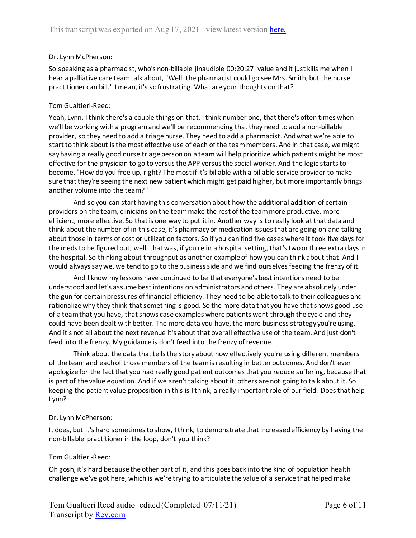## Dr. Lynn McPherson:

So speaking as a pharmacist, who's non-billable [inaudible 00:20:27] value and it just kills me when I hear a palliative care team talk about, "Well, the pharmacist could go see Mrs. Smith, but the nurse practitioner can bill." I mean, it's so frustrating. What are your thoughts on that?

## Tom Gualtieri-Reed:

Yeah, Lynn, I think there's a couple things on that. I think number one, that there's often times when we'll be working with a program and we'll be recommending that they need to add a non-billable provider, so they need to add a triage nurse. They need to add a pharmacist. And what we're able to start to think about is the most effective use of each of the team members. And in that case, we might say having a really good nurse triage person on a team will help prioritize which patients might be most effective for the physician to go to versus the APP versus the social worker. And the logic starts to become, "How do you free up, right? The most if it's billable with a billable service provider to make sure that they're seeing the next new patient which might get paid higher, but more importantly brings another volume into the team?"

And so you can start having this conversation about how the additional addition of certain providers on the team, clinicians on the team make the rest of the team more productive, more efficient, more effective. So that is one way to put it in. Another way is to really look at that data and think about the number of in this case, it's pharmacy or medication issues that are going on and talking about those in terms of cost or utilization factors. So if you can find five cases where it took five days for the meds to be figured out, well, that was, if you're in a hospital setting, that's two or three extra days in the hospital. So thinking about throughput as another example of how you can think about that. And I would always say we, we tend to go to the business side and we find ourselves feeding the frenzy of it.

And I know my lessons have continued to be that everyone's best intentions need to be understood and let's assume best intentions on administrators and others. They are absolutely under the gun for certain pressures of financial efficiency. They need to be able to talk to their colleagues and rationalize why they think that something is good. So the more data that you have that shows good use of a team that you have, that shows case examples where patients went through the cycle and they could have been dealt with better. The more data you have, the more business strategy you're using. And it's not all about the next revenue it's about that overall effective use of the team. And just don't feed into the frenzy. My guidance is don't feed into the frenzy of revenue.

Think about the data that tells the story about how effectively you're using different members of the team and each of those members of the team is resulting in better outcomes. And don't ever apologize for the fact that you had really good patient outcomes that you reduce suffering, because that is part of the value equation. And if we aren't talking about it, others are not going to talk about it. So keeping the patient value proposition in this is I think, a really important role of our field. Does that help Lynn?

## Dr. Lynn McPherson:

It does, but it's hard sometimes to show, I think, to demonstrate that increased efficiency by having the non-billable practitioner in the loop, don't you think?

# Tom Gualtieri-Reed:

Oh gosh, it's hard because the other part of it, and this goes back into the kind of population health challenge we've got here, which is we're trying to articulate the value of a service that helped make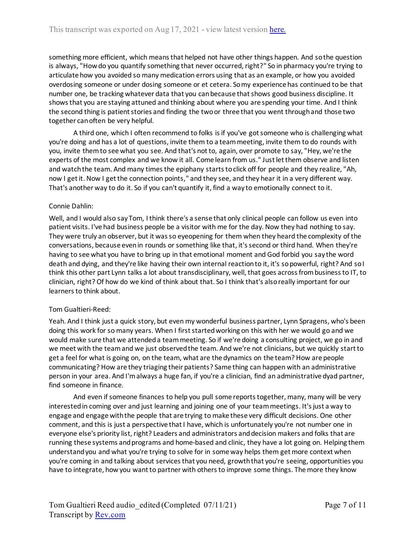something more efficient, which means that helped not have other things happen. And so the question is always, "How do you quantify something that never occurred, right?" So in pharmacy you're trying to articulate how you avoided so many medication errors using that as an example, or how you avoided overdosing someone or under dosing someone or et cetera. So my experience has continued to be that number one, be tracking whatever data that you can because that shows good business discipline. It shows that you are staying attuned and thinking about where you are spending your time. And I think the second thing is patient stories and finding the two or three that you went through and those two together can often be very helpful.

A third one, which I often recommend to folks is if you've got someone who is challenging what you're doing and has a lot of questions, invite them to a team meeting, invite them to do rounds with you, invite them to see what you see. And that's not to, again, over promote to say, "Hey, we're the experts of the most complex and we know it all. Come learn from us." Just let them observe and listen and watch the team. And many times the epiphany starts to click off for people and they realize, "Ah, now I get it. Now I get the connection points," and they see, and they hear it in a very different way. That's another way to do it. So if you can't quantify it, find a way to emotionally connect to it.

## Connie Dahlin:

Well, and I would also say Tom, I think there's a sense that only clinical people can follow us even into patient visits. I've had business people be a visitor with me for the day. Now they had nothing to say. They were truly an observer, but it was so eyeopening for them when they heard the complexity of the conversations, because even in rounds or something like that, it's second or third hand. When they're having to see what you have to bring up in that emotional moment and God forbid you say the word death and dying, and they're like having their own internal reaction to it, it's so powerful, right? And so I think this other part Lynn talks a lot about transdisciplinary, well, that goes across from business to IT, to clinician, right? Of how do we kind of think about that. So I think that's also really important for our learners to think about.

## Tom Gualtieri-Reed:

Yeah. And I think just a quick story, but even my wonderful business partner, Lynn Spragens, who's been doing this work for so many years. When I first started working on this with her we would go and we would make sure that we attended a team meeting. So if we're doing a consulting project, we go in and we meet with the team and we just observed the team. And we're not clinicians, but we quickly start to get a feel for what is going on, on the team, what are the dynamics on the team? How are people communicating? How are they triaging their patients? Same thing can happen with an administrative person in your area. And I'm always a huge fan, if you're a clinician, find an administrative dyad partner, find someone in finance.

And even if someone finances to help you pull some reports together, many, many will be very interested in coming over and just learning and joining one of your team meetings. It's just a way to engage and engage with the people that are trying to make these very difficult decisions. One other comment, and this is just a perspective that I have, which is unfortunately you're not number one in everyone else's priority list, right? Leaders and administrators and decision makers and folks that are running these systems and programs and home-based and clinic, they have a lot going on. Helping them understand you and what you're trying to solve for in some way helps them get more context when you're coming in and talking about services that you need, growth that you're seeing, opportunities you have to integrate, how you want to partner with others to improve some things. The more they know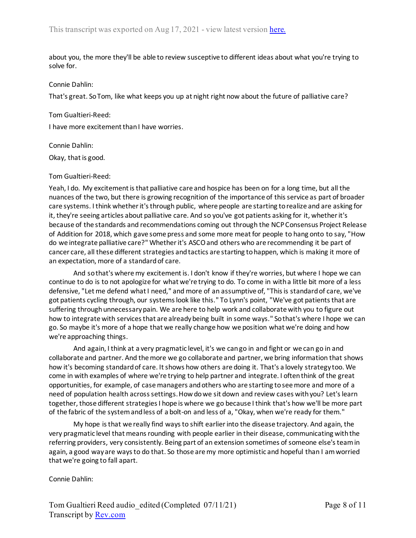about you, the more they'll be able to review susceptive to different ideas about what you're trying to solve for.

#### Connie Dahlin:

That's great. So Tom, like what keeps you up at night right now about the future of palliative care?

#### Tom Gualtieri-Reed:

I have more excitement than I have worries.

#### Connie Dahlin:

Okay, that is good.

#### Tom Gualtieri-Reed:

Yeah, I do. My excitement is that palliative care and hospice has been on for a long time, but all the nuances of the two, but there is growing recognition of the importance of this service as part of broader care systems. I think whether it's through public, where people are starting to realize and are asking for it, they're seeing articles about palliative care. And so you've got patients asking for it, whether it's because of the standards and recommendations coming out through the NCP Consensus Project Release of Addition for 2018, which gave some press and some more meat for people to hang onto to say, "How do we integrate palliative care?" Whether it's ASCO and others who are recommending it be part of cancer care, all these different strategies and tactics are starting to happen, which is making it more of an expectation, more of a standard of care.

And so that's where my excitement is. I don't know if they're worries, but where I hope we can continue to do is to not apologize for what we're trying to do. To come in with a little bit more of a less defensive, "Let me defend what I need," and more of an assumptive of, "This is standard of care, we've got patients cycling through, our systems look like this." To Lynn's point, "We've got patients that are suffering through unnecessary pain. We are here to help work and collaborate with you to figure out how to integrate with services that are already being built in some ways." So that's where I hope we can go. So maybe it's more of a hope that we really change how we position what we're doing and how we're approaching things.

And again, I think at a very pragmatic level, it's we can go in and fight or we can go in and collaborate and partner. And the more we go collaborate and partner, we bring information that shows how it's becoming standard of care. It shows how others are doing it. That's a lovely strategy too. We come in with examples of where we're trying to help partner and integrate. I often think of the great opportunities, for example, of case managers and others who are starting to see more and more of a need of population health across settings. How do we sit down and review cases with you? Let's learn together, those different strategies I hope is where we go because I think that's how we'll be more part of the fabric of the system and less of a bolt-on and less of a, "Okay, when we're ready for them."

My hope is that we really find ways to shift earlier into the disease trajectory. And again, the very pragmatic level that means rounding with people earlier in their disease, communicating with the referring providers, very consistently. Being part of an extension sometimes of someone else's team in again, a good way are ways to do that. So those are my more optimistic and hopeful than I am worried that we're going to fall apart.

Connie Dahlin: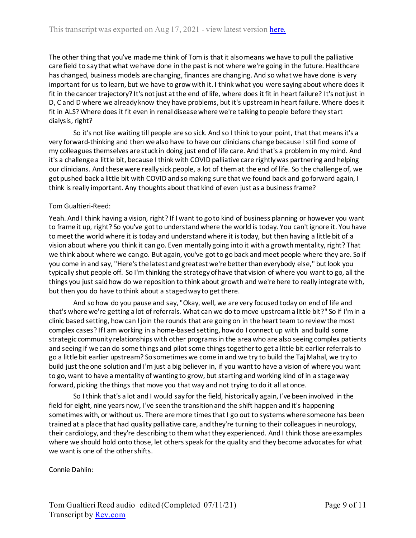The other thing that you've made me think of Tom is that it also means we have to pull the palliative care field to say that what we have done in the past is not where we're going in the future. Healthcare has changed, business models are changing, finances are changing. And so what we have done is very important for us to learn, but we have to grow with it. I think what you were saying about where does it fit in the cancer trajectory? It's not just at the end of life, where does it fit in heart failure? It's not just in D, C and D where we already know they have problems, but it's upstream in heart failure. Where does it fit in ALS? Where does it fit even in renal disease where we're talking to people before they start dialysis, right?

So it's not like waiting till people are so sick. And so I think to your point, that that means it's a very forward-thinking and then we also have to have our clinicians change because I still find some of my colleagues themselves are stuck in doing just end of life care. And that's a problem in my mind. And it's a challenge a little bit, because I think with COVID palliative care rightly was partnering and helping our clinicians. And these were really sick people, a lot of them at the end of life. So the challenge of, we got pushed back a little bit with COVID and so making sure that we found back and go forward again, I think is really important. Any thoughts about that kind of even just as a business frame?

## Tom Gualtieri-Reed:

Yeah. And I think having a vision, right? If I want to go to kind of business planning or however you want to frame it up, right? So you've got to understand where the world is today. You can't ignore it. You have to meet the world where it is today and understand where it is today, but then having a little bit of a vision about where you think it can go. Even mentally going into it with a growth mentality, right? That we think about where we can go. But again, you've got to go back and meet people where they are. So if you come in and say, "Here's the latest and greatest we're better than everybody else," but look you typically shut people off. So I'm thinking the strategy of have that vision of where you want to go, all the things you just said how do we reposition to think about growth and we're here to really integrate with, but then you do have to think about a staged way to get there.

And so how do you pause and say, "Okay, well, we are very focused today on end of life and that's where we're getting a lot of referrals. What can we do to move upstream a little bit?" So if I'm in a clinic based setting, how can I join the rounds that are going on in the heart team to review the most complex cases? If I am working in a home-based setting, how do I connect up with and build some strategic community relationships with other programs in the area who are also seeing complex patients and seeing if we can do some things and pilot some things together to get a little bit earlier referrals to go a little bit earlier upstream? So sometimes we come in and we try to build the Taj Mahal, we try to build just the one solution and I'm just a big believer in, if you want to have a vision of where you want to go, want to have a mentality of wanting to grow, but starting and working kind of in a stage way forward, picking the things that move you that way and not trying to do it all at once.

So I think that's a lot and I would say for the field, historically again, I've been involved in the field for eight, nine years now, I've seen the transition and the shift happen and it's happening sometimes with, or without us. There are more times that I go out to systems where someone has been trained at a place that had quality palliative care, and they're turning to their colleagues in neurology, their cardiology, and they're describing to them what they experienced. And I think those are examples where we should hold onto those, let others speak for the quality and they become advocates for what we want is one of the other shifts.

Connie Dahlin: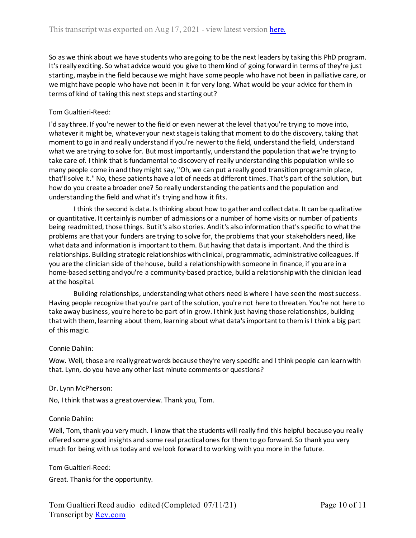So as we think about we have students who are going to be the next leaders by taking this PhD program. It's really exciting. So what advice would you give to them kind of going forward in terms of they're just starting, maybe in the field because we might have some people who have not been in palliative care, or we might have people who have not been in it for very long. What would be your advice for them in terms of kind of taking this next steps and starting out?

# Tom Gualtieri-Reed:

I'd say three. If you're newer to the field or even newer at the level that you're trying to move into, whatever it might be, whatever your next stage is taking that moment to do the discovery, taking that moment to go in and really understand if you're newer to the field, understand the field, understand what we are trying to solve for. But most importantly, understand the population that we're trying to take care of. I think that is fundamental to discovery of really understanding this population while so many people come in and they might say, "Oh, we can put a really good transition program in place, that'll solve it." No, these patients have a lot of needs at different times. That's part of the solution, but how do you create a broader one? So really understanding the patients and the population and understanding the field and what it's trying and how it fits.

I think the second is data. Is thinking about how to gather and collect data. It can be qualitative or quantitative. It certainly is number of admissions or a number of home visits or number of patients being readmitted, those things. But it's also stories. And it's also information that's specific to what the problems are that your funders are trying to solve for, the problems that your stakeholders need, like what data and information is important to them. But having that data is important. And the third is relationships. Building strategic relationships with clinical, programmatic, administrative colleagues. If you are the clinician side of the house, build a relationship with someone in finance, if you are in a home-based setting and you're a community-based practice, build a relationship with the clinician lead at the hospital.

Building relationships, understanding what others need is where I have seen the most success. Having people recognize that you're part of the solution, you're not here to threaten. You're not here to take away business, you're here to be part of in grow. I think just having those relationships, building that with them, learning about them, learning about what data's important to them is I think a big part of this magic.

## Connie Dahlin:

Wow. Well, those are really great words because they're very specific and I think people can learn with that. Lynn, do you have any other last minute comments or questions?

## Dr. Lynn McPherson:

No, I think that was a great overview. Thank you, Tom.

## Connie Dahlin:

Well, Tom, thank you very much. I know that the students will really find this helpful because you really offered some good insights and some real practical ones for them to go forward. So thank you very much for being with us today and we look forward to working with you more in the future.

Tom Gualtieri-Reed:

Great. Thanks for the opportunity.